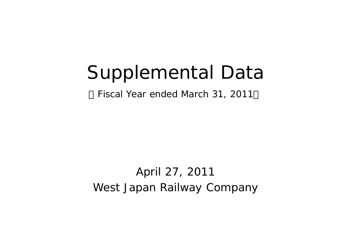# Supplemental Data

Fiscal Year ended March 31, 2011

West Japan Railway Company April 27, 2011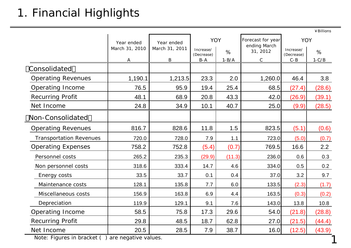# 1. Financial Highlights

|                                |                |                |                         |           |                                   |                         | ¥Billions |
|--------------------------------|----------------|----------------|-------------------------|-----------|-----------------------------------|-------------------------|-----------|
|                                | Year ended     | Year ended     | <b>YOY</b>              |           | Forecast for year<br>ending March | <b>YOY</b>              |           |
|                                | March 31, 2010 | March 31, 2011 | Increase/<br>(Decrease) | $\%$      | 31, 2012                          | Increase/<br>(Decrease) | %         |
|                                | $\mathbf{A}$   | $\, {\bf B}$   | $B - A$                 | $1 - B/A$ | $\mathbf C$                       | $C - B$                 | $1-C/B$   |
| Consolidated                   |                |                |                         |           |                                   |                         |           |
| <b>Operating Revenues</b>      | 1,190.1        | 1,213.5        | 23.3                    | 2.0       | 1,260.0                           | 46.4                    | 3.8       |
| Operating Income               | 76.5           | 95.9           | 19.4                    | 25.4      | 68.5                              | (27.4)                  | (28.6)    |
| <b>Recurring Profit</b>        | 48.1           | 68.9           | 20.8                    | 43.3      | 42.0                              | (26.9)                  | (39.1)    |
| Net Income                     | 24.8           | 34.9           | 10.1                    | 40.7      | 25.0                              | (9.9)                   | (28.5)    |
| Non-Consolidated               |                |                |                         |           |                                   |                         |           |
| <b>Operating Revenues</b>      | 816.7          | 828.6          | 11.8                    | 1.5       | 823.5                             | (5.1)                   | (0.6)     |
| <b>Transportation Revenues</b> | 720.0          | 728.0          | 7.9                     | 1.1       | 723.0                             | (5.0)                   | (0.7)     |
| <b>Operating Expenses</b>      | 758.2          | 752.8          | (5.4)                   | (0.7)     | 769.5                             | 16.6                    | 2.2       |
| Personnel costs                | 265.2          | 235.3          | (29.9)                  | (11.3)    | 236.0                             | 0.6                     | 0.3       |
| Non personnel costs            | 318.6          | 333.4          | 14.7                    | 4.6       | 334.0                             | 0.5                     | 0.2       |
| Energy costs                   | 33.5           | 33.7           | 0.1                     | 0.4       | 37.0                              | 3.2                     | 9.7       |
| Maintenance costs              | 128.1          | 135.8          | 7.7                     | 6.0       | 133.5                             | (2.3)                   | (1.7)     |
| Miscellaneous costs            | 156.9          | 163.8          | 6.9                     | 4.4       | 163.5                             | (0.3)                   | (0.2)     |
| Depreciation                   | 119.9          | 129.1          | 9.1                     | 7.6       | 143.0                             | 13.8                    | 10.8      |
| Operating Income               | 58.5           | 75.8           | 17.3                    | 29.6      | 54.0                              | (21.8)                  | (28.8)    |
| <b>Recurring Profit</b>        | 29.8           | 48.5           | 18.7                    | 62.8      | 27.0                              | (21.5)                  | (44.4)    |
| Net Income                     | 20.5           | 28.5           | 7.9                     | 38.7      | 16.0                              | (12.5)                  | (43.9)    |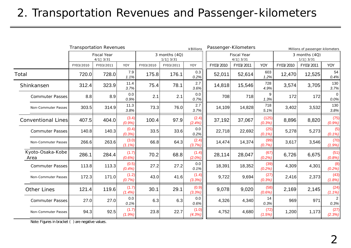### 2. Transportation Revenues and Passenger-kilometers

|                           |           | <b>Transportation Revenues</b> |                    |           |                               | ¥ Billions      |           | Passenger-Kilometers           |                   |           | Millions of passenger-kilometers |                        |
|---------------------------|-----------|--------------------------------|--------------------|-----------|-------------------------------|-----------------|-----------|--------------------------------|-------------------|-----------|----------------------------------|------------------------|
|                           |           | <b>Fiscal Year</b><br>4/1 3/31 |                    |           | 3 months (4Q)<br>$1/1$ $3/31$ |                 |           | <b>Fiscal Year</b><br>4/1 3/31 |                   |           | 3 months (4Q)<br>$1/1$ $3/31$    |                        |
|                           | FY03/2010 | FY03/2011                      | YOY                | FY03/2010 | FY03/2011                     | YOY             | FY03/2010 | FY03/2011                      | YOY               | FY03/2010 | FY03/2011                        | YOY                    |
| Total                     | 720.0     | 728.0                          | 7.9<br>1.1%        | 175.8     | 176.1                         | 0.3<br>0.2%     | 52,011    | 52,614                         | 603<br>1.2%       | 12,470    | 12,525                           | 54<br>0.4%             |
| Shinkansen                | 312.4     | 323.9                          | 11.4<br>3.7%       | 75.4      | 78.1                          | 2.7<br>3.6%     | 14,818    | 15,546                         | 728<br>4.9%       | 3,574     | 3,705                            | 130<br>3.7%            |
| <b>Commuter Passes</b>    | 8.8       | 8.9                            | 0.0<br>0.9%        | 2.1       | 2.1                           | 0.0<br>0.7%     | 708       | 718                            | 9<br>1.3%         | 172       | 172                              | $\Omega$<br>0.0%       |
| Non-Commuter Passes       | 303.5     | 314.9                          | 11.3<br>3.8%       | 73.3      | 76.0                          | 2.7<br>3.7%     | 14,109    | 14,828                         | 718<br>5.1%       | 3,402     | 3,532                            | 130<br>3.8%            |
| <b>Conventional Lines</b> | 407.5     | 404.0                          | (3.4)<br>(0.9%     | 100.4     | 97.9                          | (2.4)<br>(2.4%  | 37,192    | 37,067                         | (125)<br>(0.3%)   | 8,896     | 8,820                            | (75)<br>(0.9%          |
| <b>Commuter Passes</b>    | 140.8     | 140.3                          | (0.4)<br>(0.3%)    | 33.5      | 33.6                          | 0.0<br>0.2%     | 22,718    | 22,692                         | (25)<br>$(0.1\%)$ | 5,278     | 5,273                            | (5)<br>$(0.1\%)$       |
| Non-Commuter Passes       | 266.6     | 263.6                          | (3.0)<br>$(1.1\%)$ | 66.8      | 64.3                          | (2.4)<br>(3.7%) | 14,474    | 14,374                         | (99)<br>(0.7%)    | 3,617     | 3,546                            | (70)<br>(1.9%)         |
| Kyoto-Osaka-Kobe<br>Area  | 286.1     | 284.4                          | (1.7)<br>$(0.6\%)$ | 70.2      | 68.8                          | (1.4)<br>(2.0%) | 28,114    | 28,047                         | (67)<br>(0.2%)    | 6,726     | 6,675                            | (51)<br>(0.8%)         |
| <b>Commuter Passes</b>    | 113.8     | 113.3                          | (0.5)<br>(0.4%)    | 27.2      | 27.2                          | 0.0<br>0.1%     | 18,391    | 18,352                         | (39)<br>(0.2%)    | 4,309     | 4,301                            | (8)<br>(0.2%)          |
| Non-Commuter Passes       | 172.3     | 171.0                          | (1.2)<br>(0.7%)    | 43.0      | 41.6                          | (1.4)<br>(3.3%) | 9,722     | 9,694                          | (27)<br>(0.3%)    | 2,416     | 2,373                            | (43)<br>(1.8%)         |
| Other Lines               | 121.4     | 119.6                          | (1.7)<br>(1.4%)    | 30.1      | 29.1                          | (0.9)<br>(3.3%) | 9,078     | 9,020                          | (58)<br>$(0.6\%)$ | 2,169     | 2,145                            | (24)<br>(1.1%)         |
| <b>Commuter Passes</b>    | 27.0      | 27.0                           | 0.0<br>0.1%        | 6.3       | 6.3                           | 0.0<br>0.6%     | 4,326     | 4,340                          | 14<br>0.3%        | 969       | 971                              | $\overline{2}$<br>0.3% |
| Non-Commuter Passes       | 94.3      | 92.5                           | (1.7)<br>(1.9%)    | 23.8      | 22.7                          | (1.0)<br>(4.3%) | 4,752     | 4,680                          | (72)<br>(1.5%)    | 1,200     | 1,173                            | (27)<br>(2.3%)         |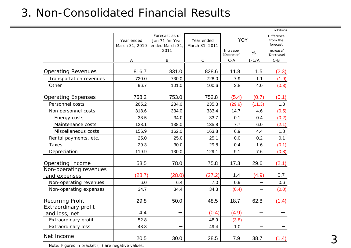#### 3. Non-Consolidated Financial Results

|                                        |                              |                                                      |                              |                         |         | $4$ Billions                              |
|----------------------------------------|------------------------------|------------------------------------------------------|------------------------------|-------------------------|---------|-------------------------------------------|
|                                        | Year ended<br>March 31, 2010 | Forecast as of<br>Jan 31 for Year<br>ended March 31, | Year ended<br>March 31, 2011 | <b>YOY</b>              |         | <b>Difference</b><br>from the<br>forecast |
|                                        |                              | 2011                                                 |                              | Increase/<br>(Decrease) | %       | Increase/<br>(Decrease)                   |
|                                        | A                            | B                                                    | $\mathsf{C}$                 | $C - A$                 | $1-C/A$ | $C-B$                                     |
| <b>Operating Revenues</b>              | 816.7                        | 831.0                                                | 828.6                        | 11.8                    | 1.5     | (2.3)                                     |
| Transportation revenues                | 720.0                        | 730.0                                                | 728.0                        | 7.9                     | 1.1     | (1.9)                                     |
| Other                                  | 96.7                         | 101.0                                                | 100.6                        | 3.8                     | 4.0     | (0.3)                                     |
| <b>Operating Expenses</b>              | 758.2                        | 753.0                                                | 752.8                        | (5.4)                   | (0.7)   | (0.1)                                     |
| Personnel costs                        | 265.2                        | 234.0                                                | 235.3                        | (29.9)                  | (11.3)  | 1.3                                       |
| Non personnel costs                    | 318.6                        | 334.0                                                | 333.4                        | 14.7                    | 4.6     | (0.5)                                     |
| Energy costs                           | 33.5                         | 34.0                                                 | 33.7                         | 0.1                     | 0.4     | (0.2)                                     |
| Maintenance costs                      | 128.1                        | 138.0                                                | 135.8                        | 7.7                     | 6.0     | (2.1)                                     |
| Miscellaneous costs                    | 156.9                        | 162.0                                                | 163.8                        | 6.9                     | 4.4     | 1.8                                       |
| Rental payments, etc.                  | 25.0                         | 25.0                                                 | 25.1                         | 0.0                     | 0.2     | 0.1                                       |
| <b>Taxes</b>                           | 29.3                         | 30.0                                                 | 29.8                         | 0.4                     | 1.6     | (0.1)                                     |
| Depreciation                           | 119.9                        | 130.0                                                | 129.1                        | 9.1                     | 7.6     | (0.8)                                     |
| Operating Income                       | 58.5                         | 78.0                                                 | 75.8                         | 17.3                    | 29.6    | (2.1)                                     |
| Non-operating revenues<br>and expenses | (28.7)                       | (28.0)                                               | (27.2)                       | 1.4                     | (4.9)   | 0.7                                       |
| Non-operating revenues                 | 6.0                          | 6.4                                                  | 7.0                          | 0.9                     |         | 0.6                                       |
| Non-operating expenses                 | 34.7                         | 34.4                                                 | 34.3                         | (0.4)                   |         | (0.0)                                     |
| <b>Recurring Profit</b>                | 29.8                         | 50.0                                                 | 48.5                         | 18.7                    | 62.8    | (1.4)                                     |
| Extraordinary profit<br>and loss, net  | 4.4                          |                                                      | (0.4)                        | (4.9)                   |         |                                           |
| Extraordinary profit                   | 52.8                         |                                                      | 48.9                         | (3.8)                   |         |                                           |
| Extraordinary loss                     | 48.3                         |                                                      | 49.4                         | 1.0                     |         |                                           |
| Net Income                             | 20.5                         | 30.0                                                 | 28.5                         | 7.9                     | 38.7    | (1.4)                                     |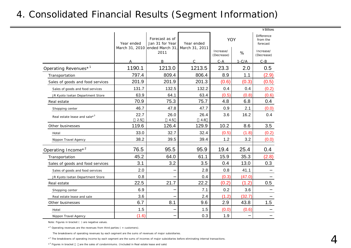#### 4. Consolidated Financial Results (Segment Information)

|                                          |                |                                   |                |                         |         | $4$ Billions                       |
|------------------------------------------|----------------|-----------------------------------|----------------|-------------------------|---------|------------------------------------|
|                                          | Year ended     | Forecast as of<br>Jan 31 for Year | Year ended     | <b>YOY</b>              |         | Difference<br>from the<br>forecast |
|                                          | March 31, 2010 | ended March 31<br>2011            | March 31, 2011 | Increase/<br>(Decrease) | %       | Increase/<br>(Decrease)            |
|                                          |                | B                                 | $\overline{C}$ | $C - A$                 | $1-C/A$ | $C - B$                            |
| Operating Revenues* <sup>1</sup>         | 1190.1         | 1213.0                            | 1213.5         | 23.3                    | 2.0     | 0.5                                |
| Transportation                           | 797.4          | 809.4                             | 806.4          | 8.9                     | 1.1     | (2.9)                              |
| Sales of goods and food services         | 201.9          | 201.9                             | 201.3          | (0.6)                   | (0.3)   | (0.5)                              |
| Sales of goods and food services         | 131.7          | 132.5                             | 132.2          | 0.4                     | 0.4     | (0.2)                              |
| JR Kyoto Isetan Department Store         | 63.9           | 64.1                              | 63.4           | (0.5)                   | (0.8)   | (0.6)                              |
| Real estate                              | 70.9           | 75.3                              | 75.7           | 4.8                     | 6.8     | 0.4                                |
| Shopping center                          | 46.7           | 47.8                              | 47.7           | 0.9                     | 2.1     | (0.0)                              |
| Real estate lease and sale* <sup>3</sup> | 22.7<br>2.5    | 26.0<br>4.5                       | 26.4<br>4.8    | 3.6                     | 16.2    | 0.4                                |
| Other businesses                         | 119.6          | 126.4                             | 129.9          | 10.2                    | 8.6     | 3.5                                |
| Hotel                                    | 33.0           | 32.7                              | 32.4           | (0.5)                   | (1.8)   | (0.2)                              |
| Nippon Travel Agency                     | 38.2           | 39.5                              | 39.4           | 1.2                     | 3.2     | (0.0)                              |
| Operating Income* <sup>2</sup>           | 76.5           | 95.5                              | 95.9           | 19.4                    | 25.4    | 0.4                                |
| Transportation                           | 45.2           | 64.0                              | 61.1           | 15.9                    | 35.3    | (2.8)                              |
| Sales of goods and food services         | 3.1            | 3.2                               | 3.5            | 0.4                     | 13.0    | 0.3                                |
| Sales of goods and food services         | 2.0            |                                   | 2.8            | 0.8                     | 41.1    |                                    |
| JR Kyoto Isetan Department Store         | 0.8            |                                   | 0.4            | (0.3)                   | (47.0)  |                                    |
| Real estate                              | 22.5           | 21.7                              | 22.2           | (0.2)                   | (1.2)   | 0.5                                |
| Shopping center                          | 6.9            |                                   | 7.1            | 0.2                     | 3.6     |                                    |
| Real estate lease and sale               | 3.6            |                                   | 2.4            | (1.2)                   | (32.7)  |                                    |
| Other businesses                         | 6.7            | 8.1                               | 9.6            | 2.9                     | 43.8    | 1.5                                |
| Hotel                                    | 1.5            |                                   | 1.5            | (0.0)                   | (0.6)   |                                    |
| Nippon Travel Agency                     | (1.6)          |                                   | 0.3            | 1.9                     |         |                                    |

Note: Figures in bracket ( ) are negative values.

 $*$ <sup>1</sup> Operating revenues are the revenues from third parties ( = customers).

The breakdowns of operating revenues by each segment are the sums of revenues of major subsidiaries.

\*<sup>2</sup> The breakdowns of operating income by each segment are the sums of incomes of major subsidiaries before eliminating internal transactions.

 $*$ <sup>3</sup> Figures in bracket are the sales of condominiums. (Included in Real estate lease and sale)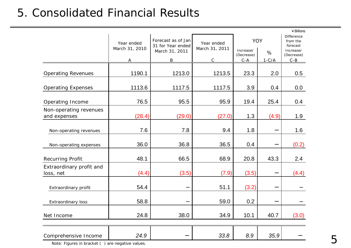#### 5. Consolidated Financial Results

|                                        |                              |                                         |                              |                         |         | $4$ Billions                              |
|----------------------------------------|------------------------------|-----------------------------------------|------------------------------|-------------------------|---------|-------------------------------------------|
|                                        | Year ended<br>March 31, 2010 | Forecast as of Jan<br>31 for Year ended | Year ended<br>March 31, 2011 | YOY                     |         | <b>Difference</b><br>from the<br>forecast |
|                                        |                              | March 31, 2011                          |                              | Increase/<br>(Decrease) | %       | Increase/<br>(Decrease)                   |
|                                        |                              | B                                       | Ć                            | $C - A$                 | $1-C/A$ | $C - B$                                   |
| <b>Operating Revenues</b>              | 1190.1                       | 1213.0                                  | 1213.5                       | 23.3                    | 2.0     | 0.5                                       |
| <b>Operating Expenses</b>              | 1113.6                       | 1117.5                                  | 1117.5                       | 3.9                     | 0.4     | 0.0                                       |
| Operating Income                       | 76.5                         | 95.5                                    | 95.9                         | 19.4                    | 25.4    | 0.4                                       |
| Non-operating revenues<br>and expenses | (28.4)                       | (29.0)                                  | (27.0)                       | 1.3                     | (4.9)   | 1.9                                       |
| Non-operating revenues                 | 7.6                          | 7.8                                     | 9.4                          | 1.8                     |         | 1.6                                       |
| Non-operating expenses                 | 36.0                         | 36.8                                    | 36.5                         | 0.4                     |         | (0.2)                                     |
| Recurring Profit                       | 48.1                         | 66.5                                    | 68.9                         | 20.8                    | 43.3    | 2.4                                       |
| Extraordinary profit and<br>loss, net  | (4.4)                        | (3.5)                                   | (7.9)                        | (3.5)                   |         | (4.4)                                     |
| Extraordinary profit                   | 54.4                         |                                         | 51.1                         | (3.2)                   |         |                                           |
| Extraordinary loss                     | 58.8                         |                                         | 59.0                         | 0.2                     |         |                                           |
| Net Income                             | 24.8                         | 38.0                                    | 34.9                         | 10.1                    | 40.7    | (3.0)                                     |
|                                        |                              |                                         |                              |                         |         |                                           |
| Comprehensive Income                   | 24.9                         |                                         | 33.8                         | 8.9                     | 35.9    |                                           |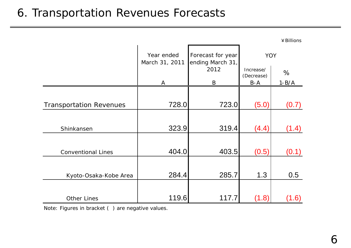#### 6. Transportation Revenues Forecasts

|                                |                                                                                     |       |                         | ¥ Billions |
|--------------------------------|-------------------------------------------------------------------------------------|-------|-------------------------|------------|
|                                | Year ended<br>Forecast for year<br><b>YOY</b><br>March 31, 2011<br>ending March 31, |       |                         |            |
|                                |                                                                                     | 2012  | Increase/<br>(Decrease) | %          |
|                                | A                                                                                   | B     | $B-A$                   | $1 - B/A$  |
|                                | 728.0                                                                               | 723.0 |                         |            |
| <b>Transportation Revenues</b> |                                                                                     |       | (5.0)                   | (0.7)      |
| Shinkansen                     | 323.9                                                                               | 319.4 | (4.4)                   | (1.4)      |
| <b>Conventional Lines</b>      | 404.0                                                                               | 403.5 | (0.5)                   | (0.1)      |
| Kyoto-Osaka-Kobe Area          | 284.4                                                                               | 285.7 | 1.3                     | 0.5        |
| <b>Other Lines</b>             | 119.6                                                                               | 117.7 | (1.8)                   | (1.6)      |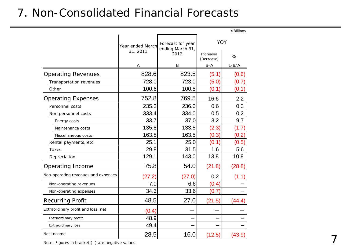#### 7. Non-Consolidated Financial Forecasts

|                                     |                                                           |             |                         | ¥ Billions |
|-------------------------------------|-----------------------------------------------------------|-------------|-------------------------|------------|
|                                     | Forecast for year<br>Year ended March<br>ending March 31, |             | YOY                     |            |
|                                     | 31, 2011                                                  | 2012        | Increase/<br>(Decrease) | %          |
|                                     | A                                                         | $\mathbf B$ | $B - A$                 | $1 - B/A$  |
| <b>Operating Revenues</b>           | 828.6                                                     | 823.5       | (5.1)                   | (0.6)      |
| Transportation revenues             | 728.0                                                     | 723.0       | (5.0)                   | (0.7)      |
| Other                               | 100.6                                                     | 100.5       | (0.1)                   | (0.1)      |
| <b>Operating Expenses</b>           | 752.8                                                     | 769.5       | 16.6                    | 2.2        |
| Personnel costs                     | 235.3                                                     | 236.0       | 0.6                     | 0.3        |
| Non personnel costs                 | 333.4                                                     | 334.0       | 0.5                     | 0.2        |
| Energy costs                        | 33.7                                                      | 37.0        | 3.2                     | 9.7        |
| Maintenance costs                   | 135.8                                                     | 133.5       | (2.3)                   | (1.7)      |
| Miscellaneous costs                 | 163.8                                                     | 163.5       | (0.3)                   | (0.2)      |
| Rental payments, etc.               | 25.1                                                      | 25.0        | (0.1)                   | (0.5)      |
| Taxes                               | 29.8                                                      | 31.5        | 1.6                     | 5.6        |
| Depreciation                        | 129.1                                                     | 143.0       | 13.8                    | 10.8       |
| Operating Income                    | 75.8                                                      | 54.0        | (21.8)                  | (28.8)     |
| Non-operating revenues and expenses | (27.2)                                                    | (27.0)      | 0.2                     | (1.1)      |
| Non-operating revenues              | 7.0                                                       | 6.6         | (0.4)                   |            |
| Non-operating expenses              | 34.3                                                      | 33.6        | (0.7)                   |            |
| <b>Recurring Profit</b>             | 48.5                                                      | 27.0        | (21.5)                  | (44.4)     |
| Extraordinary profit and loss, net  | (0.4)                                                     |             |                         |            |
| Extraordinary profit                | 48.9                                                      |             |                         |            |
| <b>Extraordinary loss</b>           | 49.4                                                      |             |                         |            |
| Net Income                          | 28.5                                                      | 16.0        | (12.5)                  | (43.9)     |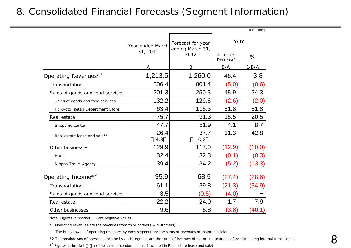#### 8. Consolidated Financial Forecasts (Segment Information)

|                                          |                  |                                                     |                         | ¥Billions |
|------------------------------------------|------------------|-----------------------------------------------------|-------------------------|-----------|
|                                          | Year ended March | <b>YOY</b><br>Forecast for year<br>ending March 31, |                         |           |
|                                          | 31, 2011         | 2012                                                | Increase/<br>(Decrease) | %         |
|                                          | A                | $\boldsymbol{B}$                                    | $B - A$                 | $1 - B/A$ |
| Operating Revenues <sup>*1</sup>         | 1,213.5          | 1,260.0                                             | 46.4                    | 3.8       |
| Transportation                           | 806.4            | 801.4                                               | (5.0)                   | (0.6)     |
| Sales of goods and food services         | 201.3            | 250.3                                               | 48.9                    | 24.3      |
| Sales of goods and food services         | 132.2            | 129.6                                               | (2.6)                   | (2.0)     |
| JR Kyoto Isetan Department Store         | 63.4             | 115.3                                               | 51.8                    | 81.8      |
| Real estate                              | 75.7             | 91.3                                                | 15.5                    | 20.5      |
| Shopping center                          | 47.7             | 51.9                                                | 4.1                     | 8.7       |
| Real estate lease and sale* <sup>3</sup> | 26.4<br>4.8      | 37.7<br>10.2                                        | 11.3                    | 42.8      |
| Other businesses                         | 129.9            | 117.0                                               | (12.9)                  | (10.0)    |
| Hotel                                    | 32.4             | 32.3                                                | (0.1)                   | (0.3)     |
| Nippon Travel Agency                     | 39.4             | 34.2                                                | (5.2)                   | (13.3)    |
| Operating Income <sup>*2</sup>           | 95.9             | 68.5                                                | (27.4)                  | (28.6)    |
| Transportation                           | 61.1             | 39.8                                                | (21.3)                  | (34.9)    |
| Sales of goods and food services         | 3.5              | (0.5)                                               | (4.0)                   |           |
| Real estate                              | 22.2             | 24.0                                                | 1.7                     | 7.9       |
| Other businesses                         | 9.6              | 5.8                                                 | (3.8)                   | (40.1)    |

Note: Figures in bracket ( ) are negative values.

\*1 Operating revenues are the revenues from third parties ( = customers).

The breakdowns of operating revenues by each segment are the sums of revenues of major subsidiaries.

\*2 The breakdowns of operating income by each segment are the sums of incomes of major subsidiaries before eliminating internal transactions.

 $*$ <sup>3</sup> Figures in bracket are the sales of condominiums. (Included in Real estate lease and sale)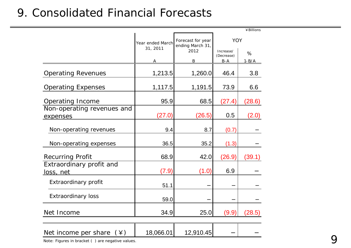#### 9. Consolidated Financial Forecasts

|                                              |                              |                                       |                         | ¥Billions |
|----------------------------------------------|------------------------------|---------------------------------------|-------------------------|-----------|
|                                              | Year ended March<br>31, 2011 | Forecast for year<br>ending March 31, | <b>YOY</b>              |           |
|                                              |                              | 2012                                  | Increase/<br>(Decrease) | %         |
|                                              | Α                            | $\, {\bf B}$                          | $B - A$                 | $1 - B/A$ |
| <b>Operating Revenues</b>                    | 1,213.5                      | 1,260.0                               | 46.4                    | 3.8       |
| <b>Operating Expenses</b>                    | 1,117.5                      | 1,191.5                               | 73.9                    | 6.6       |
| Operating Income                             | 95.9                         | 68.5                                  | (27.4)                  | (28.6)    |
| Non-operating revenues and<br>expenses       | (27.0)                       | (26.5)                                | 0.5                     | (2.0)     |
| Non-operating revenues                       | 9.4                          | 8.7                                   | (0.7)                   |           |
| Non-operating expenses                       | 36.5                         | 35.2                                  | (1.3)                   |           |
| <b>Recurring Profit</b>                      | 68.9                         | 42.0                                  | (26.9)                  | (39.1)    |
| Extraordinary profit and<br><u>loss, net</u> | (7.9)                        | (1.0)                                 | 6.9                     |           |
| Extraordinary profit                         | 51.1                         |                                       |                         |           |
| <b>Extraordinary loss</b>                    | 59.0                         |                                       |                         |           |
| Net Income                                   | 34.9                         | 25.0                                  | (9.9)                   | (28.5)    |
| Net income per share<br>$(\angle)$           | 18,066.01                    | 12,910.45                             |                         |           |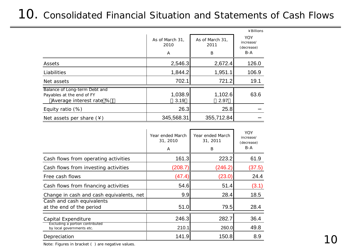## 10. Consolidated Financial Situation and Statements of Cash Flows

|                                                                                       |                              |                              | ¥ Billions                              |
|---------------------------------------------------------------------------------------|------------------------------|------------------------------|-----------------------------------------|
|                                                                                       | As of March 31,<br>2010<br>A | As of March 31,<br>2011<br>B | YOY<br>increase/<br>(decrease)<br>$B-A$ |
| Assets                                                                                | 2,546.3                      | 2,672.4                      | 126.0                                   |
| Liabilities                                                                           | 1,844.2                      | 1,951.1                      | 106.9                                   |
| Net assets                                                                            | 702.1                        | 721.2                        | 19.1                                    |
| Balance of Long-term Debt and<br>Payables at the end of FY<br>Average interest rate % | 1,038.9<br>3.19              | 1,102.6<br>2.97              | 63.6                                    |
| Equity ratio $(\%)$                                                                   | 26.3                         | 25.8                         |                                         |
| Net assets per share $(*)$                                                            | 345,568.31                   | 355,712.84                   |                                         |

|                                                              | Year ended March<br>31, 2010<br>A | Year ended March<br>31, 2011<br>B | YOY<br>increase/<br>(decrease)<br>$B-A$ |
|--------------------------------------------------------------|-----------------------------------|-----------------------------------|-----------------------------------------|
| Cash flows from operating activities                         | 161.3                             | 223.2                             | 61.9                                    |
| Cash flows from investing activities                         | (208.7)                           | (246.2)                           | (37.5)                                  |
| Free cash flows                                              | (47.4)                            | (23.0)                            | 24.4                                    |
| Cash flows from financing activities                         | 54.6                              | 51.4                              | (3.1)                                   |
| Change in cash and cash equivalents, net                     | 9.9                               | 28.4                              | 18.5                                    |
| Cash and cash equivalents<br>at the end of the period        | 51.0                              | 79.5                              | 28.4                                    |
| Capital Expenditure                                          | 246.3                             | 282.7                             | 36.4                                    |
| Excluding a portion contributed<br>by local governments etc. | 210.1                             | 260.0                             | 49.8                                    |
| Depreciation                                                 | 141.9                             | 150.8                             | 8.9                                     |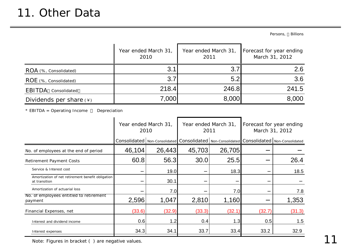Persons, Billions

|                                             | Year ended March 31,<br>2010 | Year ended March 31,<br>2011 | Forecast for year ending<br>March 31, 2012 |
|---------------------------------------------|------------------------------|------------------------------|--------------------------------------------|
| ROA (%, Consolidated)                       | 3.1                          | 3.7                          | 2.6                                        |
| ROE (%, Consolidated)                       | 3.7 <sub>l</sub>             | 5.2                          | 3.6                                        |
| EBITDA<br>Consolidated                      | 218.4                        | 246.8                        | 241.5                                      |
| Dividends per share $(*)$                   | 7,000                        | 8,000                        | 8,000                                      |
| * EBITDA = Operating Income<br>Depreciation |                              |                              |                                            |

|                                                                    | Year ended March 31,<br>2010 |        | Year ended March 31,<br>2011                                                                        |        | Forecast for year ending<br>March 31, 2012 |        |
|--------------------------------------------------------------------|------------------------------|--------|-----------------------------------------------------------------------------------------------------|--------|--------------------------------------------|--------|
|                                                                    |                              |        | Consolidated   Non-Consolidated   Consolidated   Non-Consolidated   Consolidated   Non-Consolidated |        |                                            |        |
| No. of employees at the end of period                              | 46,104                       | 26,443 | 45,703                                                                                              | 26,705 |                                            |        |
| Retirement Payment Costs                                           | 60.8                         | 56.3   | 30.0                                                                                                | 25.5   |                                            | 26.4   |
| Service & Interest cost                                            |                              | 19.0   |                                                                                                     | 18.3   |                                            | 18.5   |
| Amortization of net retirement benefit obligation<br>at transition |                              | 30.1   |                                                                                                     |        |                                            |        |
| Amortization of actuarial loss                                     |                              | 7.0    |                                                                                                     | 7.0    |                                            | 7.8    |
| No. of employees entitled to retirement<br>payment                 | 2,596                        | 1,047  | 2,810                                                                                               | 1,160  |                                            | 1,353  |
| Financial Expenses, net                                            | (33.6)                       | (32.9) | (33.3)                                                                                              | (32.1) | (32.7)                                     | (31.3) |
| Interest and dividend income                                       | 0.6                          | 1.2    | 0.4                                                                                                 | 1.3    | 0.5                                        | 1.5    |
| Interest expenses                                                  | 34.3                         | 34.1   | 33.7                                                                                                | 33.4   | 33.2                                       | 32.9   |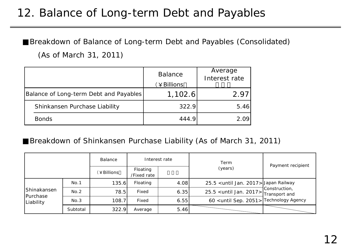### 12. Balance of Long-term Debt and Payables

Breakdown of Balance of Long-term Debt and Payables (Consolidated) (As of March 31, 2011)

|                                        | <b>Balance</b><br>¥ Billions | Average<br>Interest rate |
|----------------------------------------|------------------------------|--------------------------|
| Balance of Long-term Debt and Payables | 1,102.6                      |                          |
| Shinkansen Purchase Liability          | 322.9                        | 5.46                     |
| <b>Bonds</b>                           | 444.9                        |                          |

#### Breakdown of Shinkansen Purchase Liability (As of March 31, 2011)

|                                      |          | Balance    | Interest rate           |      | Term                                                 | Payment recipient |  |
|--------------------------------------|----------|------------|-------------------------|------|------------------------------------------------------|-------------------|--|
|                                      |          | (¥Billions | Floating<br>/Fixed rate |      | (years)                                              |                   |  |
| Shinakansen<br>Purchase<br>Liability | No.1     | 135.6      | Floating                | 4.08 | 25.5 <until 2017="" jan.=""> Japan Railway</until>   |                   |  |
|                                      | No.2     | 78.5       | Fixed                   | 6.35 |                                                      | Construction,     |  |
|                                      | No.3     | 108.7      | Fixed                   | 6.55 | 60 <until 2051="" sep.=""> Technology Agency</until> |                   |  |
|                                      | Subtotal | 322.9      | Average                 | 5.46 |                                                      |                   |  |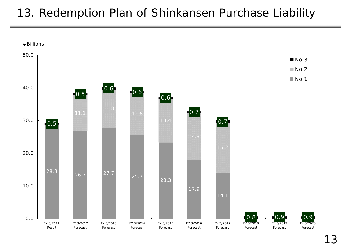### 13. Redemption Plan of Shinkansen Purchase Liability